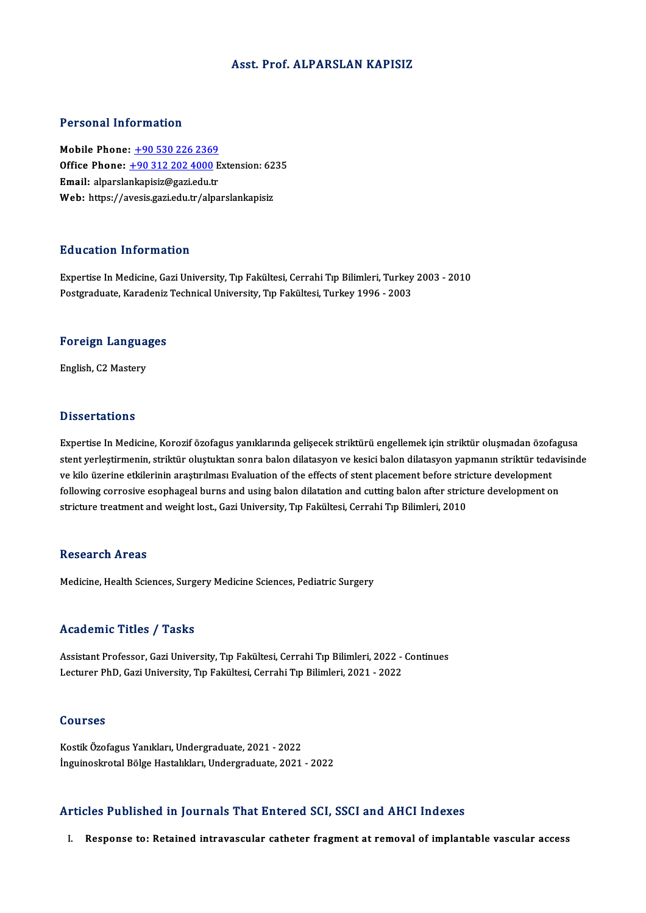### Asst. Prof. ALPARSLAN KAPISIZ

### Personal Information

Mobile Phone: +90 530 226 2369 **Mobile Phone: <u>+90 530 226 2369</u><br>Mobile Phone: <u>+90 530 226 2369</u><br>Email: alparelankanisir@ggri.edu.tr** Mobile Phone:  $\pm 90\,530\,226\,2369$ <br>Office Phone:  $\pm 90\,312\,202\,4000$  E<br>Email: alparsla[nkapisiz@gazi.edu.](tel:+90 312 202 4000)[tr](tel:+90 530 226 2369) Office Phone: <u>+90 312 202 4000</u> Extension: 62<br>Email: alparslankapisiz@gazi.edu.tr<br>Web: https://avesis.gazi.edu.tr/alparslankapisiz Web: https://avesis.gazi.edu.tr/alparslankapisiz<br>Education Information

Education Information<br>Expertise In Medicine, Gazi University, Tıp Fakültesi, Cerrahi Tıp Bilimleri, Turkey 2003 - 2010<br>Pestanaduata Kanadaniz Teshnisal University, Tıp Fakültesi, Turkey 1996 - 2003 Pu u cutrom minomiucioni<br>Expertise In Medicine, Gazi University, Tıp Fakültesi, Cerrahi Tıp Bilimleri, Turkey<br>Postgraduate, Karadeniz Technical University, Tıp Fakültesi, Turkey 1996 - 2003

## <sub>Postgraduate, Karadeniz</sub><br>Foreign Languages F<mark>oreign Langua</mark><br>English, C2 Mastery

English, C2 Mastery<br>Dissertations

**Dissertations**<br>Expertise In Medicine, Korozif özofagus yanıklarında gelişecek striktürü engellemek için striktür oluşmadan özofagusa<br>stant verlestirmenin, striktür eluştuktan sonra balen dilatasyon ve kesisi balen dilatas s isser tatrems<br>Expertise In Medicine, Korozif özofagus yanıklarında gelişecek striktürü engellemek için striktür oluşmadan özofagusa<br>stent yerleştirmenin, striktür oluştuktan sonra balon dilatasyon ve kesici balon dilatas Expertise In Medicine, Korozif özofagus yanıklarında gelişecek striktürü engellemek için striktür oluşmadan özofa<br>stent yerleştirmenin, striktür oluştuktan sonra balon dilatasyon ve kesici balon dilatasyon yapmanın striktü stent yerleştirmenin, striktür oluştuktan sonra balon dilatasyon ve kesici balon dilatasyon yapmanın striktür tedavi<br>ve kilo üzerine etkilerinin araştırılması Evaluation of the effects of stent placement before stricture d ve kilo üzerine etkilerinin araştırılması Evaluation of the effects of stent placement before stri<br>following corrosive esophageal burns and using balon dilatation and cutting balon after strict<br>stricture treatment and weig stricture treatment and weight lost., Gazi University, Tıp Fakültesi, Cerrahi Tıp Bilimleri, 2010<br>Research Areas

Medicine, Health Sciences, Surgery Medicine Sciences, Pediatric Surgery

### Academic Titles / Tasks

Academic Titles / Tasks<br>Assistant Professor, Gazi University, Tıp Fakültesi, Cerrahi Tıp Bilimleri, 2022 - Continues<br>Lecturer PhD, Cazi University, Tıp Fakültesi, Cerrahi Tıp Bilimleri, 2021, 2022 Lecturer Prefes / Tuens<br>Assistant Professor, Gazi University, Tıp Fakültesi, Cerrahi Tıp Bilimleri, 2022 -<br>Lecturer PhD, Gazi University, Tıp Fakültesi, Cerrahi Tıp Bilimleri, 2021 - 2022 Lecturer PhD, Gazi University, Tıp Fakültesi, Cerrahi Tıp Bilimleri, 2021 - 2022<br>Courses

KostikÖzofagusYanıkları,Undergraduate,2021 -2022 İnguinoskrotal Bölge Hastalıkları, Undergraduate, 2021 - 2022

### Articles Published in Journals That Entered SCI, SSCI and AHCI Indexes

I. Response to: Retained intravascular catheter fragment at removal of implantable vascular access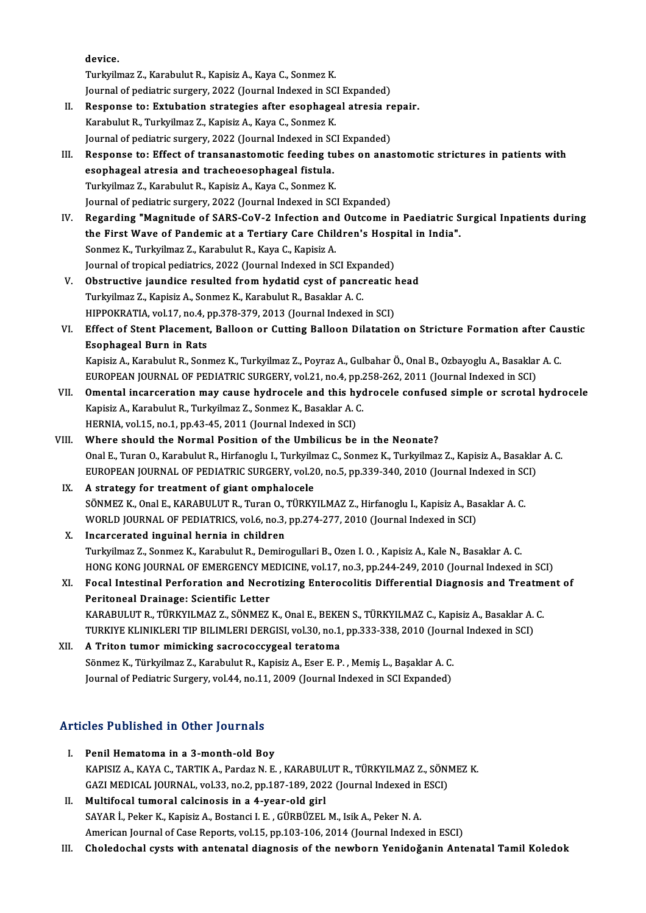device.

Turkyilmaz Z., Karabulut R., Kapisiz A., Kaya C., Sonmez K.

Journal of pediatric surgery, 2022 (Journal Indexed in SCI Expanded)

- Turkyilmaz Z., Karabulut R., Kapisiz A., Kaya C., Sonmez K.<br>Journal of pediatric surgery, 2022 (Journal Indexed in SCI Expanded)<br>II. Response to: Extubation strategies after esophageal atresia repair.<br>Kanabulut B. Turkyilm Journal of pediatric surgery, 2022 (Journal Indexed in SC)<br>Response to: Extubation strategies after esophage.<br>Karabulut R., Turkyilmaz Z., Kapisiz A., Kaya C., Sonmez K.<br>Journal of pediatric surgery, 2022 (Journal Indexed Response to: Extubation strategies after esophageal atresia re<br>Karabulut R., Turkyilmaz Z., Kapisiz A., Kaya C., Sonmez K.<br>Journal of pediatric surgery, 2022 (Journal Indexed in SCI Expanded)<br>Pespense to: Effect of transan Karabulut R., Turkyilmaz Z., Kapisiz A., Kaya C., Sonmez K.<br>Journal of pediatric surgery, 2022 (Journal Indexed in SCI Expanded)<br>III. Response to: Effect of transanastomotic feeding tubes on anastomotic strictures in patie
- Journal of pediatric surgery, 2022 (Journal Indexed in SC<br>Response to: Effect of transanastomotic feeding tu<br>esophageal atresia and tracheoesophageal fistula.<br>Turkrilmag 7, Karabulut P. Kanisir A. Kaya C. Sonmag K Response to: Effect of transanastomotic feeding tu<br>esophageal atresia and tracheoesophageal fistula.<br>Turkyilmaz Z., Karabulut R., Kapisiz A., Kaya C., Sonmez K.<br>Journal of pediatris surgery, 2022 (Journal Indoved in SC esophageal atresia and tracheoesophageal fistula.<br>Turkyilmaz Z., Karabulut R., Kapisiz A., Kaya C., Sonmez K.<br>Journal of pediatric surgery, 2022 (Journal Indexed in SCI Expanded) Turkyilmaz Z., Karabulut R., Kapisiz A., Kaya C., Sonmez K.<br>Journal of pediatric surgery, 2022 (Journal Indexed in SCI Expanded)<br>IV. Regarding "Magnitude of SARS-CoV-2 Infection and Outcome in Paediatric Surgical Inpatient
- Journal of pediatric surgery, 2022 (Journal Indexed in SCI Expanded)<br>Regarding "Magnitude of SARS-CoV-2 Infection and Outcome in Paediatric S<br>the First Wave of Pandemic at a Tertiary Care Children's Hospital in India".<br>Sen Regarding "Magnitude of SARS-CoV-2 Infection and<br>the First Wave of Pandemic at a Tertiary Care Chile<br>Sonmez K., Turkyilmaz Z., Karabulut R., Kaya C., Kapisiz A.<br>Journal of tronical podiatrics, 2022 (Journal Indoved in St the First Wave of Pandemic at a Tertiary Care Children's Hosp<br>Sonmez K., Turkyilmaz Z., Karabulut R., Kaya C., Kapisiz A.<br>Journal of tropical pediatrics, 2022 (Journal Indexed in SCI Expanded)<br>Obstructive ioundice resulted Sonmez K., Turkyilmaz Z., Karabulut R., Kaya C., Kapisiz A.<br>Journal of tropical pediatrics, 2022 (Journal Indexed in SCI Expanded)<br>V. Obstructive jaundice resulted from hydatid cyst of pancreatic head<br>Turkyilmaz Z. Konisiz
- Journal of tropical pediatrics, 2022 (Journal Indexed in SCI Expandion Contractive jaundice resulted from hydatid cyst of pancipality<br>Turkyilmaz Z., Kapisiz A., Sonmez K., Karabulut R., Basaklar A. C.<br>HIPPOKRATIA, vol.17, Obstructive jaundice resulted from hydatid cyst of pancreatic l<br>Turkyilmaz Z., Kapisiz A., Sonmez K., Karabulut R., Basaklar A. C.<br>HIPPOKRATIA, vol.17, no.4, pp.378-379, 2013 (Journal Indexed in SCI)<br>Effect of Stant Placem HIPPOKRATIA, vol.17, no.4, pp.378-379, 2013 (Journal Indexed in SCI)
- Turkyilmaz Z., Kapisiz A., Sonmez K., Karabulut R., Basaklar A. C.<br>HIPPOKRATIA, vol.17, no.4, pp.378-379, 2013 (Journal Indexed in SCI)<br>VI. Effect of Stent Placement, Balloon or Cutting Balloon Dilatation on Stricture Form Effect of Stent Placement, Balloon or Cutting Balloon Dilatation on Stricture Formation after Ca<br>Esophageal Burn in Rats<br>Kapisiz A., Karabulut R., Sonmez K., Turkyilmaz Z., Poyraz A., Gulbahar Ö., Onal B., Ozbayoglu A., Ba

Es<mark>ophageal Burn in Rats</mark><br>Kapisiz A., Karabulut R., Sonmez K., Turkyilmaz Z., Poyraz A., Gulbahar Ö., Onal B., Ozbayoglu A., Basaklar<br>EUROPEAN JOURNAL OF PEDIATRIC SURGERY, vol.21, no.4, pp.258-262, 2011 (Journal Indexed i Kapisiz A., Karabulut R., Sonmez K., Turkyilmaz Z., Poyraz A., Gulbahar Ö., Onal B., Ozbayoglu A., Basaklar A. C.<br>EUROPEAN JOURNAL OF PEDIATRIC SURGERY, vol.21, no.4, pp.258-262, 2011 (Journal Indexed in SCI)<br>VII. Omental

- EUROPEAN JOURNAL OF PEDIATRIC SURGERY, vol.21, no.4, pp.<br>**Omental incarceration may cause hydrocele and this hydrapisiz A., Karabulut R., Turkyilmaz Z., Sonmez K., Basaklar A. C.<br>HEPNIA .vol.15, no.1, nn.42, 45, 2011 (Jour** Omental incarceration may cause hydrocele and this hy<br>Kapisiz A., Karabulut R., Turkyilmaz Z., Sonmez K., Basaklar A. (<br>HERNIA, vol.15, no.1, pp.43-45, 2011 (Journal Indexed in SCI)<br>Where should the Normal Bosition of the
- HERNIA, vol.15, no.1, pp.43-45, 2011 (Journal Indexed in SCI)<br>VIII. Where should the Normal Position of the Umbilicus be in the Neonate? HERNIA, vol.15, no.1, pp.43-45, 2011 (Journal Indexed in SCI)<br>Where should the Normal Position of the Umbilicus be in the Neonate?<br>Onal E., Turan O., Karabulut R., Hirfanoglu I., Turkyilmaz C., Sonmez K., Turkyilmaz Z., Ka Where should the Normal Position of the Umbilicus be in the Neonate?<br>Onal E., Turan O., Karabulut R., Hirfanoglu I., Turkyilmaz C., Sonmez K., Turkyilmaz Z., Kapisiz A., Basaklaı<br>EUROPEAN JOURNAL OF PEDIATRIC SURGERY, vol. EUROPEAN JOURNAL OF PEDIATRIC SURGERY, vol.20, no.5, pp.339-340, 2010 (Journal Indexed in SCI) IX. A strategy for treatment of giant omphalocele
	- EUROPEAN JOURNAL OF PEDIATRIC SURGERY, vol.20, no.5, pp.339-340, 2010 (Journal Indexed in SC<br>A strategy for treatment of giant omphalocele<br>SÖNMEZ K., Onal E., KARABULUT R., Turan O., TÜRKYILMAZ Z., Hirfanoglu I., Kapisiz A A strategy for treatment of giant omphalocele<br>SÖNMEZ K., Onal E., KARABULUT R., Turan O., TÜRKYILMAZ Z., Hirfanoglu I., Kapisiz A., Ba:<br>WORLD JOURNAL OF PEDIATRICS, vol.6, no.3, pp.274-277, 2010 (Journal Indexed in SCI)<br>In WORLD JOURNAL OF PEDIATRICS, vol.6, no.3, pp.274-277, 2010 (Journal Indexed in SCI)<br>X. Incarcerated inguinal hernia in children
	- Turkyilmaz Z., Sonmez K., Karabulut R., Demirogullari B., Ozen I. O., Kapisiz A., Kale N., Basaklar A. C. Incarcerated inguinal hernia in children<br>Turkyilmaz Z., Sonmez K., Karabulut R., Demirogullari B., Ozen I. O. , Kapisiz A., Kale N., Basaklar A. C.<br>HONG KONG JOURNAL OF EMERGENCY MEDICINE, vol.17, no.3, pp.244-249, 2010 (J Turkyilmaz Z., Sonmez K., Karabulut R., Demirogullari B., Ozen I. O. , Kapisiz A., Kale N., Basaklar A. C.<br>HONG KONG JOURNAL OF EMERGENCY MEDICINE, vol.17, no.3, pp.244-249, 2010 (Journal Indexed in SCI)<br>XI. Focal Intestin
	- HONG KONG JOURNAL OF EMERGENCY MI<br>Focal Intestinal Perforation and Necr<br>Peritoneal Drainage: Scientific Letter<br>KARAPULUT P. TÜRKVU MAZ Z. SÖNMEZ Focal Intestinal Perforation and Necrotizing Enterocolitis Differential Diagnosis and Treatment Peritoneal Drainage: Scientific Letter<br>KARABULUT R., TÜRKYILMAZ Z., SÖNMEZ K., Onal E., BEKEN S., TÜRKYILMAZ C., Kapisiz A., B Peritoneal Drainage: Scientific Letter<br>KARABULUT R., TÜRKYILMAZ Z., SÖNMEZ K., Onal E., BEKEN S., TÜRKYILMAZ C., Kapisiz A., Basaklar A. C.
- XII. A Triton tumor mimicking sacrococcygeal teratoma TURKIYE KLINIKLERI TIP BILIMLERI DERGISI, vol.30, no.1, pp.333-338, 2010 (Journal Indexed in SCI)<br>A Triton tumor mimicking sacrococcygeal teratoma<br>Sönmez K., Türkyilmaz Z., Karabulut R., Kapisiz A., Eser E. P., Memiş L., B Sönmez K., Türkyilmaz Z., Karabulut R., Kapisiz A., Eser E. P., Memiş L., Başaklar A. C.

## Articles Published in Other Journals

- I. Penil Hematoma in a 3-month-old Boy XES I densica in Stiel Journals<br>Penil Hematoma in a 3-month-old Boy<br>KAPISIZ A., KAYA C., TARTIK A., Pardaz N. E. , KARABULUT R., TÜRKYILMAZ Z., SÖNMEZ K.<br>CAZI MEDICAL JOUPNAL vol 22 no 2 nn 197 199 2022 (Journal Indoved in Penil Hematoma in a 3-month-old Boy<br>KAPISIZ A., KAYA C., TARTIK A., Pardaz N. E. , KARABULUT R., TÜRKYILMAZ Z., SÖNI<br>GAZI MEDICAL JOURNAL, vol.33, no.2, pp.187-189, 2022 (Journal Indexed in ESCI)<br>Multifosel tumoral selsino GAZI MEDICAL JOURNAL, vol.33, no.2, pp.187-189, 2022 (Journal Indexed in ESCI)<br>II. Multifocal tumoral calcinosis in a 4-year-old girl
- SAYAR İ., Peker K., Kapisiz A., Bostanci I. E., GÜRBÜZEL M., Isik A., Peker N. A. American Journal of Case Reports, vol.15, pp.103-106, 2014 (Journal Indexed in ESCI)
- III. Choledochal cysts with antenatal diagnosis of the newborn Yenidoğanin Antenatal Tamil Koledok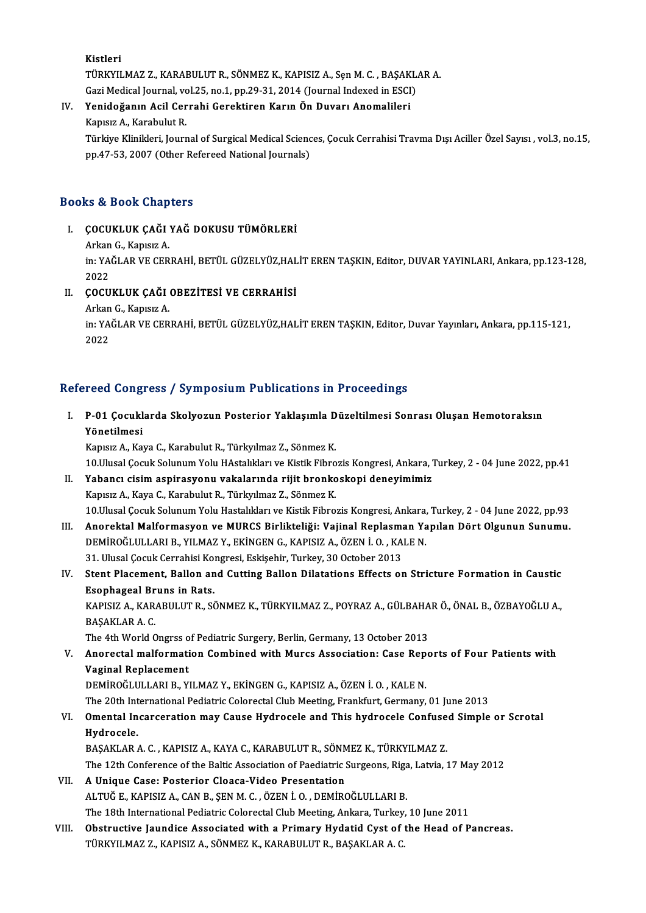Kistleri Kistleri<br>TÜRKYILMAZ Z., KARABULUT R., SÖNMEZ K., KAPISIZ A., Sçn M. C. , BAŞAKLAR A.<br>Çeri Medisel Journal, vel 35, no.1, nn 39, 31, 3914 (Journal Indoved in ESCI) Kistleri<br>TÜRKYILMAZ Z., KARABULUT R., SÖNMEZ K., KAPISIZ A., Sęn M. C. , BAŞAKL.<br>Gazi Medical Journal, vol.25, no.1, pp.29-31, 2014 (Journal Indexed in ESCI)<br>Yonidoğanın Asil Genrabi Canaltinan Kanın Ön Duyanı Anemalileni TÜRKYILMAZ Z., KARABULUT R., SÖNMEZ K., KAPISIZ A., Sen M. C., BAŞAK<br>Gazi Medical Journal, vol.25, no.1, pp.29-31, 2014 (Journal Indexed in ESCI<br>IV. Yenidoğanın Acil Cerrahi Gerektiren Karın Ön Duvarı Anomalileri<br>Kanısız A

Gazi Medical Journal, vol.25, no.1, pp.29-31, 2014 (Journal Indexed in ESCI)<br>IV. Yenidoğanın Acil Cerrahi Gerektiren Karın Ön Duvarı Anomalileri<br>Kapısız A., Karabulut R.

Yenidoğanın Acil Cerrahi Gerektiren Karın Ön Duvarı Anomalileri<br>Kapısız A., Karabulut R.<br>Türkiye Klinikleri, Journal of Surgical Medical Sciences, Çocuk Cerrahisi Travma Dışı Aciller Özel Sayısı , vol.3, no.15,<br>nn 47,53, 2 Kapısız A., Karabulut R.<br>Türkiye Klinikleri, Journal of Surgical Medical Scienc<br>pp.47-53, 2007 (Other Refereed National Journals) pp.47-53, 2007 (Other Refereed National Journals)<br>Books & Book Chapters

- ooks & Book Chapters<br>I. ÇOCUKLUK ÇAĞI YAĞ DOKUSU TÜMÖRLERİ<br>Arkan G. Kansız A LE COOK CHEP<br>COCUKLUK CAĞI<br>Arkan G., Kapısız A.<br>in: YAČI AR VE CER
	- Arkan G., Kapısız A

in: YAĞLAR VE CERRAHİ, BETÜL GÜZELYÜZ,HALİT EREN TAŞKIN, Editor, DUVAR YAYINLARI, Ankara, pp.123-128,<br>2022 In: YAĞLAR VE CERRAHİ, BETÜL GÜZELYÜZ,HAL<br>2022<br>II. COCUKLUK ÇAĞI OBEZİTESİ VE CERRAHİSİ

## 2022<br>**ÇOCUKLUK ÇAĞI**<br>Arkan G., Kapısız A.<br>in: YAĞI AR VE CER

ÇOCUKLUK ÇAĞI OBEZİTESİ VE CERRAHİSİ<br>Arkan G., Kapısız A.<br>in: YAĞLAR VE CERRAHİ, BETÜL GÜZELYÜZ,HALİT EREN TAŞKIN, Editor, Duvar Yayınları, Ankara, pp.115-121,<br>2022 Arkan<br>in: YA<br>2022

## 2022<br>Refereed Congress / Symposium Publications in Proceedings

efereed Congress / Symposium Publications in Proceedings<br>I. P-01 Çocuklarda Skolyozun Posterior Yaklaşımla Düzeltilmesi Sonrası Oluşan Hemotoraksın<br>Yönetilmesi rood dong.<br>P-01 Çocukl<br>Yönetilmesi P-01 Çocuklarda Skolyozun Posterior Yaklaşımla D<br>Yönetilmesi<br>Kapısız A., Kaya C., Karabulut R., Türkyılmaz Z., Sönmez K.<br>10 Ulusal Cosuk Solunum Yolu HAstabkları ve Kistik Fibro

Yönetilmesi<br>Kapısız A., Kaya C., Karabulut R., Türkyılmaz Z., Sönmez K.<br>10.Ulusal Çocuk Solunum Yolu HAstalıkları ve Kistik Fibrozis Kongresi, Ankara, Turkey, 2 - 04 June 2022, pp.41<br>Yahangı gisim aspirasyonu yakalarında r Kapısız A., Kaya C., Karabulut R., Türkyılmaz Z., Sönmez K.<br>10.Ulusal Çocuk Solunum Yolu HAstalıkları ve Kistik Fibrozis Kongresi, Ankara,<br>II. Yabancı cisim aspirasyonu vakalarında rijit bronkoskopi deneyimimiz<br>Kapısız 10.Ulusal Çocuk Solunum Yolu HAstalıkları ve Kistik Fibro<br>**Yabancı cisim aspirasyonu vakalarında rijit bronko**<br>Kapısız A., Kaya C., Karabulut R., Türkyılmaz Z., Sönmez K.<br>10 Ulusal Cosuk Solunum Yolu Hastalıkları ve Kistik

10.Ulusal Çocuk Solunum Yolu Hastalıkları ve Kistik Fibrozis Kongresi, Ankara, Turkey, 2 - 04 June 2022, pp.93 Kapısız A., Kaya C., Karabulut R., Türkyılmaz Z., Sönmez K.<br>10.Ulusal Çocuk Solunum Yolu Hastalıkları ve Kistik Fibrozis Kongresi, Ankara, Turkey, 2 - 04 June 2022, pp.93<br>11. Anorektal Malformasyon ve MURCS Birlikteliği: V

- 10.Ulusal Çocuk Solunum Yolu Hastalıkları ve Kistik Fibrozis Kongresi, Ankara,<br>Anorektal Malformasyon ve MURCS Birlikteliği: Vajinal Replasman Ya<br>DEMİROĞLULLARI B., YILMAZ Y., EKİNGEN G., KAPISIZ A., ÖZEN İ. O. , KALE N.<br>2 Anorektal Malformasyon ve MURCS Birlikteliği: Vajinal Replasma<br>DEMİROĞLULLARI B., YILMAZ Y., EKİNGEN G., KAPISIZ A., ÖZEN İ. O. , KA<br>31. Ulusal Çocuk Cerrahisi Kongresi, Eskişehir, Turkey, 30 October 2013<br>Stant Placement, DEMİROĞLULLARI B., YILMAZ Y., EKİNGEN G., KAPISIZ A., ÖZEN İ. O. , KALE N.<br>31. Ulusal Çocuk Cerrahisi Kongresi, Eskişehir, Turkey, 30 October 2013<br>IV. Stent Placement, Ballon and Cutting Ballon Dilatations Effects on S
- 31. Ulusal Çocuk Cerrahisi Kol<br>Stent Placement, Ballon an<br>Esophageal Bruns in Rats.<br>KAPISIZ A. KARAPIH HT R. SÉ Stent Placement, Ballon and Cutting Ballon Dilatations Effects on Stricture Formation in Caustic<br>Esophageal Bruns in Rats.<br>KAPISIZ A., KARABULUT R., SÖNMEZ K., TÜRKYILMAZ Z., POYRAZ A., GÜLBAHAR Ö., ÖNAL B., ÖZBAYOĞLU A.,<br> Esophageal Br<br>KAPISIZ A., KAR<br>BAŞAKLAR A. C.<br>The 4th Werld C

KAPISIZ A., KARABULUT R., SÖNMEZ K., TÜRKYILMAZ Z., POYRAZ A., GÜLBAHA<br>BAŞAKLAR A. C.<br>The 4th World Ongrss of Pediatric Surgery, Berlin, Germany, 13 October 2013<br>Anexestal malformation Combined with Murge Association: Case

The 4th World Ongrss of Pediatric Surgery, Berlin, Germany, 13 October 2013

BAŞAKLAR A. C.<br>The 4th World Ongrss of Pediatric Surgery, Berlin, Germany, 13 October 2013<br>V. Anorectal malformation Combined with Murcs Association: Case Reports of Four Patients with<br>Vaginal Replacement

DEMİROĞLULLARIB.,YILMAZ Y.,EKİNGENG.,KAPISIZA.,ÖZENİ.O. ,KALEN.

The 20th International Pediatric Colorectal Club Meeting, Frankfurt, Germany, 01 June 2013

## DEMİROĞLULLARI B., YILMAZ Y., EKİNGEN G., KAPISIZ A., ÖZEN İ. O. , KALE N.<br>The 20th International Pediatric Colorectal Club Meeting, Frankfurt, Germany, 01 June 2013<br>VI. Omental Incarceration may Cause Hydrocele and Th The 20th Int<br>**Omental In<br>Hydrocele.**<br>PASAKLAR Omental Incarceration may Cause Hydrocele and This hydrocele Confuse<br>Hydrocele.<br>BAŞAKLAR A. C. , KAPISIZ A., KAYA C., KARABULUT R., SÖNMEZ K., TÜRKYILMAZ Z.<br>The 12th Conference of the Paltis Association of Poediatric Surge

Hydrocele.<br>BAŞAKLAR A. C. , KAPISIZ A., KAYA C., KARABULUT R., SÖNMEZ K., TÜRKYILMAZ Z.<br>The 12th Conference of the Baltic Association of Paediatric Surgeons, Riga, Latvia, 17 May 2012<br>A Unique Case: Pesterier Clease Videe

## BAŞAKLAR A. C. , KAPISIZ A., KAYA C., KARABULUT R., SÖNMEZ K., TÜRKYILMAZ Z.<br>The 12th Conference of the Baltic Association of Paediatric Surgeons, Riga, Latvia, 2<br>VII. A Unique Case: Posterior Cloaca-Video Presentation The 12th Conference of the Baltic Association of Paediatric Surgeons, Riga<br>A Unique Case: Posterior Cloaca-Video Presentation<br>ALTUĞ E., KAPISIZ A., CAN B., ŞEN M. C. , ÖZEN İ. O. , DEMİROĞLULLARI B.<br>The 18th International The 18th International Pediatric Colorectal Club Meeting, Ankara, Turkey, 10 June 2011

VIII. Obstructive Jaundice Associated with a Primary Hydatid Cyst of the Head of Pancreas. TÜRKYILMAZ Z., KAPISIZ A., SÖNMEZ K., KARABULUT R., BAŞAKLAR A. C.